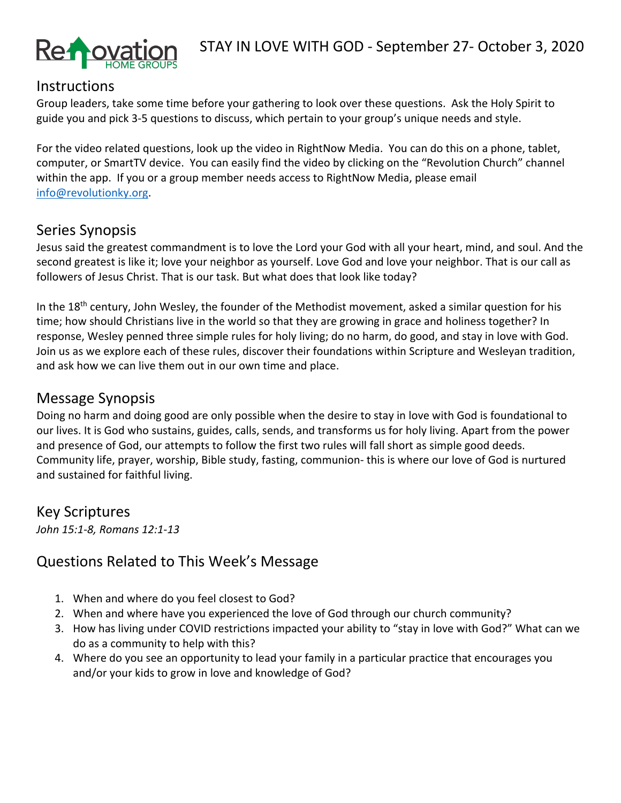

#### **Instructions**

Group leaders, take some time before your gathering to look over these questions. Ask the Holy Spirit to guide you and pick 3-5 questions to discuss, which pertain to your group's unique needs and style.

For the video related questions, look up the video in RightNow Media. You can do this on a phone, tablet, computer, or SmartTV device. You can easily find the video by clicking on the "Revolution Church" channel within the app. If you or a group member needs access to RightNow Media, please email info@revolutionky.org.

## Series Synopsis

Jesus said the greatest commandment is to love the Lord your God with all your heart, mind, and soul. And the second greatest is like it; love your neighbor as yourself. Love God and love your neighbor. That is our call as followers of Jesus Christ. That is our task. But what does that look like today?

In the 18<sup>th</sup> century, John Wesley, the founder of the Methodist movement, asked a similar question for his time; how should Christians live in the world so that they are growing in grace and holiness together? In response, Wesley penned three simple rules for holy living; do no harm, do good, and stay in love with God. Join us as we explore each of these rules, discover their foundations within Scripture and Wesleyan tradition, and ask how we can live them out in our own time and place.

#### Message Synopsis

Doing no harm and doing good are only possible when the desire to stay in love with God is foundational to our lives. It is God who sustains, guides, calls, sends, and transforms us for holy living. Apart from the power and presence of God, our attempts to follow the first two rules will fall short as simple good deeds. Community life, prayer, worship, Bible study, fasting, communion- this is where our love of God is nurtured and sustained for faithful living.

### Key Scriptures

*John 15:1-8, Romans 12:1-13*

## Questions Related to This Week's Message

- 1. When and where do you feel closest to God?
- 2. When and where have you experienced the love of God through our church community?
- 3. How has living under COVID restrictions impacted your ability to "stay in love with God?" What can we do as a community to help with this?
- 4. Where do you see an opportunity to lead your family in a particular practice that encourages you and/or your kids to grow in love and knowledge of God?